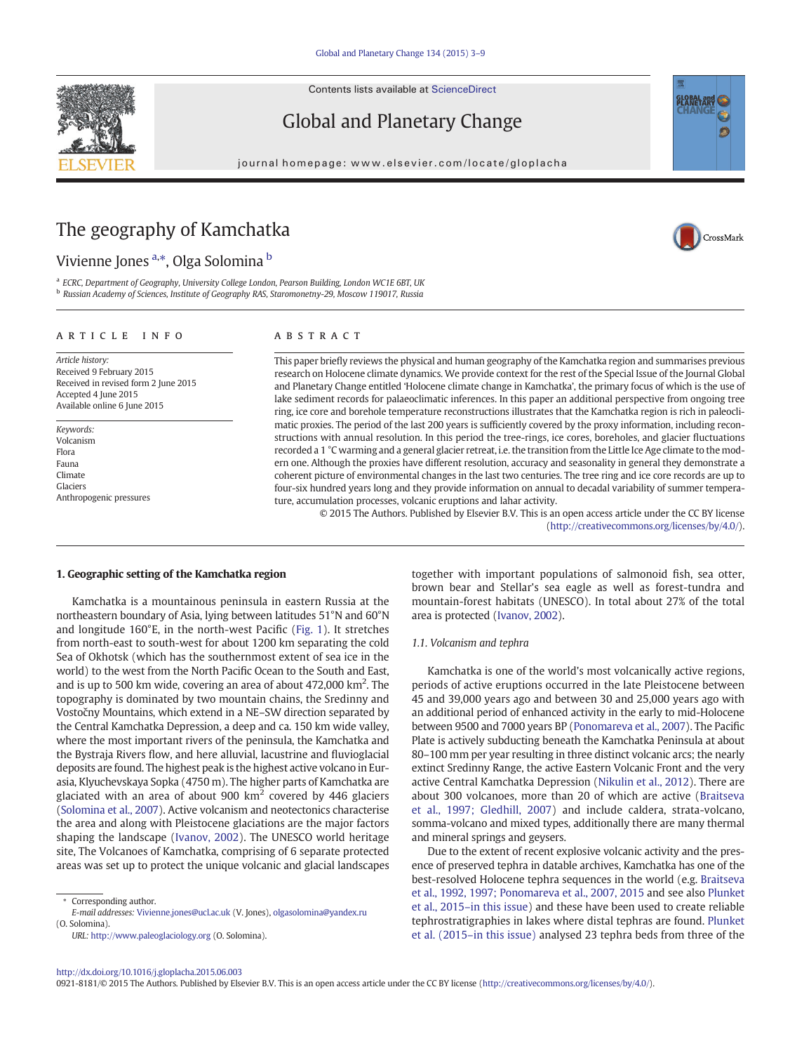Contents lists available at ScienceDirect

# Global and Planetary Change

journal homepage:<www.elsevier.com/locate/gloplacha>

## The geography of Kamchatka

Vivienne Jones <sup>a,\*</sup>, Olga Solomina <sup>b</sup>

a ECRC, Department of Geography, University College London, Pearson Building, London WC1E 6BT, UK <sup>b</sup> Russian Academy of Sciences, Institute of Geography RAS, Staromonetny-29, Moscow 119017, Russia

#### article info abstract

Article history: Received 9 February 2015 Received in revised form 2 June 2015 Accepted 4 June 2015 Available online 6 June 2015

Keywords: Volcanism Flora Fauna Climate Glaciers Anthropogenic pressures

This paper briefly reviews the physical and human geography of the Kamchatka region and summarises previous research on Holocene climate dynamics. We provide context for the rest of the Special Issue of the Journal Global and Planetary Change entitled 'Holocene climate change in Kamchatka', the primary focus of which is the use of lake sediment records for palaeoclimatic inferences. In this paper an additional perspective from ongoing tree ring, ice core and borehole temperature reconstructions illustrates that the Kamchatka region is rich in paleoclimatic proxies. The period of the last 200 years is sufficiently covered by the proxy information, including reconstructions with annual resolution. In this period the tree-rings, ice cores, boreholes, and glacier fluctuations recorded a 1 °C warming and a general glacier retreat, i.e. the transition from the Little Ice Age climate to the modern one. Although the proxies have different resolution, accuracy and seasonality in general they demonstrate a coherent picture of environmental changes in the last two centuries. The tree ring and ice core records are up to four-six hundred years long and they provide information on annual to decadal variability of summer temperature, accumulation processes, volcanic eruptions and lahar activity.

© 2015 The Authors. Published by Elsevier B.V. This is an open access article under the CC BY license [\(http://creativecommons.org/licenses/by/4.0/\)](http://creativecommons.org/licenses/by/4.0/).

#### 1. Geographic setting of the Kamchatka region

Kamchatka is a mountainous peninsula in eastern Russia at the northeastern boundary of Asia, lying between latitudes 51°N and 60°N and longitude 160°E, in the north-west Pacific [\(Fig. 1\)](#page-1-0). It stretches from north-east to south-west for about 1200 km separating the cold Sea of Okhotsk (which has the southernmost extent of sea ice in the world) to the west from the North Pacific Ocean to the South and East, and is up to 500 km wide, covering an area of about 472,000 km<sup>2</sup>. The topography is dominated by two mountain chains, the Sredinny and Vostočny Mountains, which extend in a NE–SW direction separated by the Central Kamchatka Depression, a deep and ca. 150 km wide valley, where the most important rivers of the peninsula, the Kamchatka and the Bystraja Rivers flow, and here alluvial, lacustrine and fluvioglacial deposits are found. The highest peak is the highest active volcano in Eurasia, Klyuchevskaya Sopka (4750 m). The higher parts of Kamchatka are glaciated with an area of about 900  $km^2$  covered by 446 glaciers [\(Solomina et al., 2007\)](#page-6-0). Active volcanism and neotectonics characterise the area and along with Pleistocene glaciations are the major factors shaping the landscape [\(Ivanov, 2002](#page-5-0)). The UNESCO world heritage site, The Volcanoes of Kamchatka, comprising of 6 separate protected areas was set up to protect the unique volcanic and glacial landscapes

Corresponding author. E-mail addresses: [Vivienne.jones@ucl.ac.uk](mailto:Vivienne.jones@ucl.ac.uk) (V. Jones), [olgasolomina@yandex.ru](mailto:olgasolomina@yandex.ru) (O. Solomina).

URL: <http://www.paleoglaciology.org> (O. Solomina).

together with important populations of salmonoid fish, sea otter, brown bear and Stellar's sea eagle as well as forest-tundra and mountain-forest habitats (UNESCO). In total about 27% of the total area is protected [\(Ivanov, 2002\)](#page-5-0).

### 1.1. Volcanism and tephra

Kamchatka is one of the world's most volcanically active regions, periods of active eruptions occurred in the late Pleistocene between 45 and 39,000 years ago and between 30 and 25,000 years ago with an additional period of enhanced activity in the early to mid-Holocene between 9500 and 7000 years BP ([Ponomareva et al., 2007\)](#page-5-0). The Pacific Plate is actively subducting beneath the Kamchatka Peninsula at about 80–100 mm per year resulting in three distinct volcanic arcs; the nearly extinct Sredinny Range, the active Eastern Volcanic Front and the very active Central Kamchatka Depression [\(Nikulin et al., 2012\)](#page-5-0). There are about 300 volcanoes, more than 20 of which are active ([Braitseva](#page-5-0) [et al., 1997; Gledhill, 2007](#page-5-0)) and include caldera, strata-volcano, somma-volcano and mixed types, additionally there are many thermal and mineral springs and geysers.

Due to the extent of recent explosive volcanic activity and the presence of preserved tephra in datable archives, Kamchatka has one of the best-resolved Holocene tephra sequences in the world (e.g. [Braitseva](#page-5-0) [et al., 1992, 1997; Ponomareva et al., 2007, 2015](#page-5-0) and see also [Plunket](#page-5-0) et al., 2015–[in this issue](#page-5-0)) and these have been used to create reliable tephrostratigraphies in lakes where distal tephras are found. [Plunket](#page-5-0) et al. (2015–[in this issue\)](#page-5-0) analysed 23 tephra beds from three of the

0921-8181/© 2015 The Authors. Published by Elsevier B.V. This is an open access article under the CC BY license [\(http://creativecommons.org/licenses/by/4.0/](http://creativecommons.org/licenses/by/4.0/)).





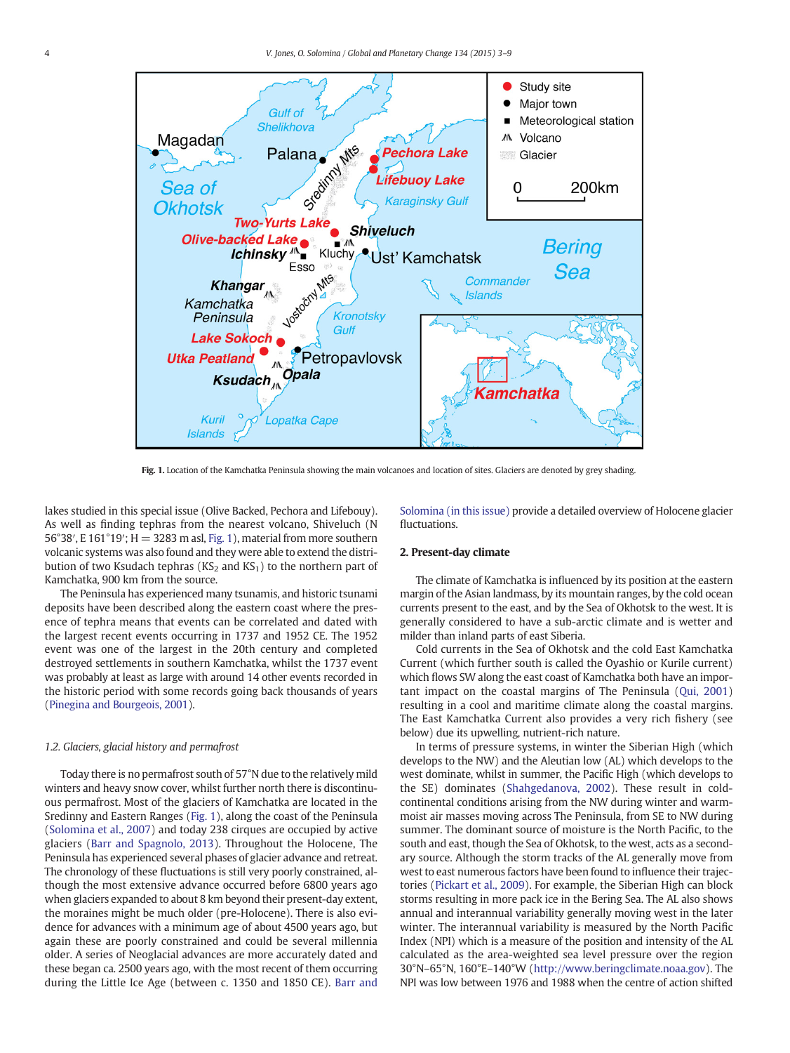<span id="page-1-0"></span>

Fig. 1. Location of the Kamchatka Peninsula showing the main volcanoes and location of sites. Glaciers are denoted by grey shading

lakes studied in this special issue (Olive Backed, Pechora and Lifebouy). As well as finding tephras from the nearest volcano, Shiveluch (N 56°38′, E 161°19′; H = 3283 m asl, Fig. 1), material from more southern volcanic systems was also found and they were able to extend the distribution of two Ksudach tephras ( $KS_2$  and  $KS_1$ ) to the northern part of Kamchatka, 900 km from the source.

The Peninsula has experienced many tsunamis, and historic tsunami deposits have been described along the eastern coast where the presence of tephra means that events can be correlated and dated with the largest recent events occurring in 1737 and 1952 CE. The 1952 event was one of the largest in the 20th century and completed destroyed settlements in southern Kamchatka, whilst the 1737 event was probably at least as large with around 14 other events recorded in the historic period with some records going back thousands of years [\(Pinegina and Bourgeois, 2001\)](#page-5-0).

#### 1.2. Glaciers, glacial history and permafrost

Today there is no permafrost south of 57°N due to the relatively mild winters and heavy snow cover, whilst further north there is discontinuous permafrost. Most of the glaciers of Kamchatka are located in the Sredinny and Eastern Ranges (Fig. 1), along the coast of the Peninsula [\(Solomina et al., 2007\)](#page-6-0) and today 238 cirques are occupied by active glaciers ([Barr and Spagnolo, 2013](#page-5-0)). Throughout the Holocene, The Peninsula has experienced several phases of glacier advance and retreat. The chronology of these fluctuations is still very poorly constrained, although the most extensive advance occurred before 6800 years ago when glaciers expanded to about 8 km beyond their present-day extent, the moraines might be much older (pre-Holocene). There is also evidence for advances with a minimum age of about 4500 years ago, but again these are poorly constrained and could be several millennia older. A series of Neoglacial advances are more accurately dated and these began ca. 2500 years ago, with the most recent of them occurring during the Little Ice Age (between c. 1350 and 1850 CE). [Barr and](#page-5-0) [Solomina \(in this issue\)](#page-5-0) provide a detailed overview of Holocene glacier fluctuations.

#### 2. Present-day climate

The climate of Kamchatka is influenced by its position at the eastern margin of the Asian landmass, by its mountain ranges, by the cold ocean currents present to the east, and by the Sea of Okhotsk to the west. It is generally considered to have a sub-arctic climate and is wetter and milder than inland parts of east Siberia.

Cold currents in the Sea of Okhotsk and the cold East Kamchatka Current (which further south is called the Oyashio or Kurile current) which flows SW along the east coast of Kamchatka both have an important impact on the coastal margins of The Peninsula [\(Qui, 2001](#page-5-0)) resulting in a cool and maritime climate along the coastal margins. The East Kamchatka Current also provides a very rich fishery (see below) due its upwelling, nutrient-rich nature.

In terms of pressure systems, in winter the Siberian High (which develops to the NW) and the Aleutian low (AL) which develops to the west dominate, whilst in summer, the Pacific High (which develops to the SE) dominates [\(Shahgedanova, 2002\)](#page-5-0). These result in coldcontinental conditions arising from the NW during winter and warmmoist air masses moving across The Peninsula, from SE to NW during summer. The dominant source of moisture is the North Pacific, to the south and east, though the Sea of Okhotsk, to the west, acts as a secondary source. Although the storm tracks of the AL generally move from west to east numerous factors have been found to influence their trajectories [\(Pickart et al., 2009\)](#page-5-0). For example, the Siberian High can block storms resulting in more pack ice in the Bering Sea. The AL also shows annual and interannual variability generally moving west in the later winter. The interannual variability is measured by the North Pacific Index (NPI) which is a measure of the position and intensity of the AL calculated as the area-weighted sea level pressure over the region 30°N–65°N, 160°E–140°W (<http://www.beringclimate.noaa.gov>). The NPI was low between 1976 and 1988 when the centre of action shifted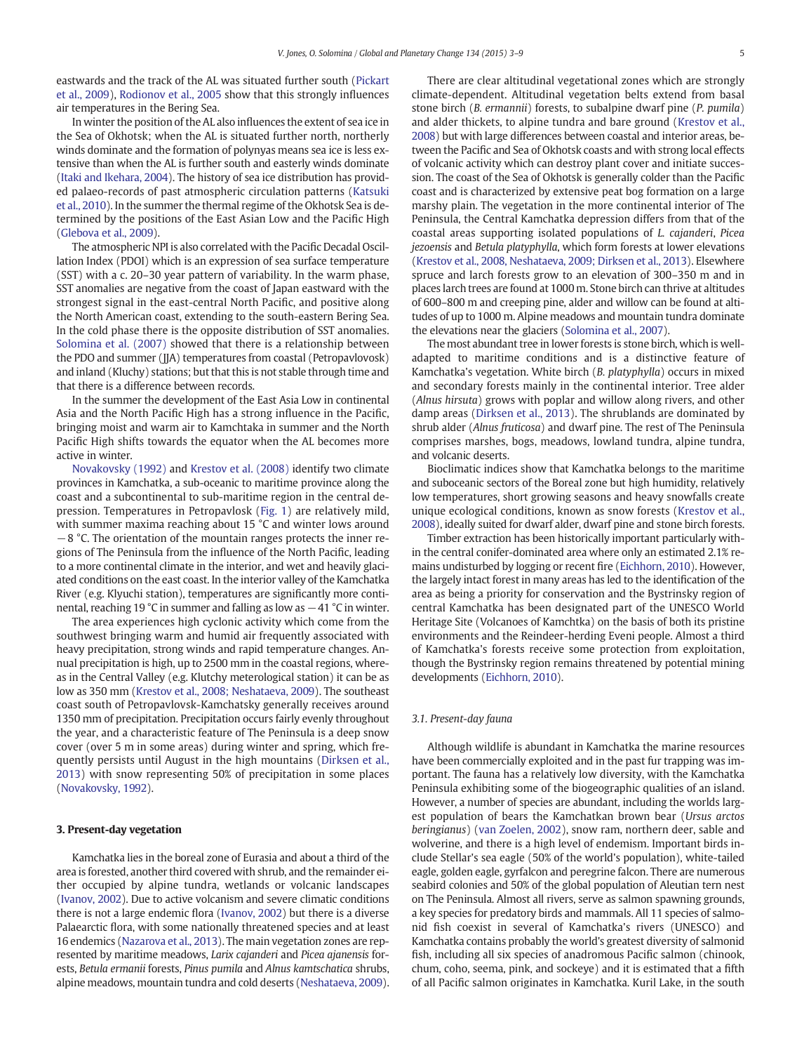eastwards and the track of the AL was situated further south [\(Pickart](#page-5-0) [et al., 2009\)](#page-5-0), [Rodionov et al., 2005](#page-5-0) show that this strongly influences air temperatures in the Bering Sea.

In winter the position of the AL also influences the extent of sea ice in the Sea of Okhotsk; when the AL is situated further north, northerly winds dominate and the formation of polynyas means sea ice is less extensive than when the AL is further south and easterly winds dominate [\(Itaki and Ikehara, 2004\)](#page-5-0). The history of sea ice distribution has provided palaeo-records of past atmospheric circulation patterns [\(Katsuki](#page-5-0) [et al., 2010\)](#page-5-0). In the summer the thermal regime of the Okhotsk Sea is determined by the positions of the East Asian Low and the Pacific High [\(Glebova et al., 2009](#page-5-0)).

The atmospheric NPI is also correlated with the Pacific Decadal Oscillation Index (PDOI) which is an expression of sea surface temperature (SST) with a c. 20–30 year pattern of variability. In the warm phase, SST anomalies are negative from the coast of Japan eastward with the strongest signal in the east-central North Pacific, and positive along the North American coast, extending to the south-eastern Bering Sea. In the cold phase there is the opposite distribution of SST anomalies. [Solomina et al. \(2007\)](#page-6-0) showed that there is a relationship between the PDO and summer (JJA) temperatures from coastal (Petropavlovosk) and inland (Kluchy) stations; but that this is not stable through time and that there is a difference between records.

In the summer the development of the East Asia Low in continental Asia and the North Pacific High has a strong influence in the Pacific, bringing moist and warm air to Kamchtaka in summer and the North Pacific High shifts towards the equator when the AL becomes more active in winter.

[Novakovsky \(1992\)](#page-5-0) and [Krestov et al. \(2008\)](#page-5-0) identify two climate provinces in Kamchatka, a sub-oceanic to maritime province along the coast and a subcontinental to sub-maritime region in the central depression. Temperatures in Petropavlosk [\(Fig. 1\)](#page-1-0) are relatively mild, with summer maxima reaching about 15 °C and winter lows around −8 °C. The orientation of the mountain ranges protects the inner regions of The Peninsula from the influence of the North Pacific, leading to a more continental climate in the interior, and wet and heavily glaciated conditions on the east coast. In the interior valley of the Kamchatka River (e.g. Klyuchi station), temperatures are significantly more continental, reaching 19 °C in summer and falling as low as −41 °C in winter.

The area experiences high cyclonic activity which come from the southwest bringing warm and humid air frequently associated with heavy precipitation, strong winds and rapid temperature changes. Annual precipitation is high, up to 2500 mm in the coastal regions, whereas in the Central Valley (e.g. Klutchy meterological station) it can be as low as 350 mm ([Krestov et al., 2008; Neshataeva, 2009](#page-5-0)). The southeast coast south of Petropavlovsk-Kamchatsky generally receives around 1350 mm of precipitation. Precipitation occurs fairly evenly throughout the year, and a characteristic feature of The Peninsula is a deep snow cover (over 5 m in some areas) during winter and spring, which frequently persists until August in the high mountains [\(Dirksen et al.,](#page-5-0) [2013\)](#page-5-0) with snow representing 50% of precipitation in some places [\(Novakovsky, 1992\)](#page-5-0).

#### 3. Present-day vegetation

Kamchatka lies in the boreal zone of Eurasia and about a third of the area is forested, another third covered with shrub, and the remainder either occupied by alpine tundra, wetlands or volcanic landscapes [\(Ivanov, 2002\)](#page-5-0). Due to active volcanism and severe climatic conditions there is not a large endemic flora ([Ivanov, 2002\)](#page-5-0) but there is a diverse Palaearctic flora, with some nationally threatened species and at least 16 endemics [\(Nazarova et al., 2013](#page-5-0)). The main vegetation zones are represented by maritime meadows, Larix cajanderi and Picea ajanensis forests, Betula ermanii forests, Pinus pumila and Alnus kamtschatica shrubs, alpine meadows, mountain tundra and cold deserts ([Neshataeva, 2009](#page-5-0)).

There are clear altitudinal vegetational zones which are strongly climate-dependent. Altitudinal vegetation belts extend from basal stone birch (B. ermannii) forests, to subalpine dwarf pine (P. pumila) and alder thickets, to alpine tundra and bare ground [\(Krestov et al.,](#page-5-0) [2008](#page-5-0)) but with large differences between coastal and interior areas, between the Pacific and Sea of Okhotsk coasts and with strong local effects of volcanic activity which can destroy plant cover and initiate succession. The coast of the Sea of Okhotsk is generally colder than the Pacific coast and is characterized by extensive peat bog formation on a large marshy plain. The vegetation in the more continental interior of The Peninsula, the Central Kamchatka depression differs from that of the coastal areas supporting isolated populations of L. cajanderi, Picea jezoensis and Betula platyphylla, which form forests at lower elevations [\(Krestov et al., 2008, Neshataeva, 2009; Dirksen et al., 2013\)](#page-5-0). Elsewhere spruce and larch forests grow to an elevation of 300–350 m and in places larch trees are found at 1000 m. Stone birch can thrive at altitudes of 600–800 m and creeping pine, alder and willow can be found at altitudes of up to 1000 m. Alpine meadows and mountain tundra dominate the elevations near the glaciers [\(Solomina et al., 2007](#page-6-0)).

The most abundant tree in lower forests is stone birch, which is welladapted to maritime conditions and is a distinctive feature of Kamchatka's vegetation. White birch (B. platyphylla) occurs in mixed and secondary forests mainly in the continental interior. Tree alder (Alnus hirsuta) grows with poplar and willow along rivers, and other damp areas ([Dirksen et al., 2013](#page-5-0)). The shrublands are dominated by shrub alder (Alnus fruticosa) and dwarf pine. The rest of The Peninsula comprises marshes, bogs, meadows, lowland tundra, alpine tundra, and volcanic deserts.

Bioclimatic indices show that Kamchatka belongs to the maritime and suboceanic sectors of the Boreal zone but high humidity, relatively low temperatures, short growing seasons and heavy snowfalls create unique ecological conditions, known as snow forests [\(Krestov et al.,](#page-5-0) [2008](#page-5-0)), ideally suited for dwarf alder, dwarf pine and stone birch forests.

Timber extraction has been historically important particularly within the central conifer-dominated area where only an estimated 2.1% remains undisturbed by logging or recent fire [\(Eichhorn, 2010\)](#page-5-0). However, the largely intact forest in many areas has led to the identification of the area as being a priority for conservation and the Bystrinsky region of central Kamchatka has been designated part of the UNESCO World Heritage Site (Volcanoes of Kamchtka) on the basis of both its pristine environments and the Reindeer-herding Eveni people. Almost a third of Kamchatka's forests receive some protection from exploitation, though the Bystrinsky region remains threatened by potential mining developments [\(Eichhorn, 2010\)](#page-5-0).

#### 3.1. Present-day fauna

Although wildlife is abundant in Kamchatka the marine resources have been commercially exploited and in the past fur trapping was important. The fauna has a relatively low diversity, with the Kamchatka Peninsula exhibiting some of the biogeographic qualities of an island. However, a number of species are abundant, including the worlds largest population of bears the Kamchatkan brown bear (Ursus arctos beringianus) [\(van Zoelen, 2002](#page-6-0)), snow ram, northern deer, sable and wolverine, and there is a high level of endemism. Important birds include Stellar's sea eagle (50% of the world's population), white-tailed eagle, golden eagle, gyrfalcon and peregrine falcon. There are numerous seabird colonies and 50% of the global population of Aleutian tern nest on The Peninsula. Almost all rivers, serve as salmon spawning grounds, a key species for predatory birds and mammals. All 11 species of salmonid fish coexist in several of Kamchatka's rivers (UNESCO) and Kamchatka contains probably the world's greatest diversity of salmonid fish, including all six species of anadromous Pacific salmon (chinook, chum, coho, seema, pink, and sockeye) and it is estimated that a fifth of all Pacific salmon originates in Kamchatka. Kuril Lake, in the south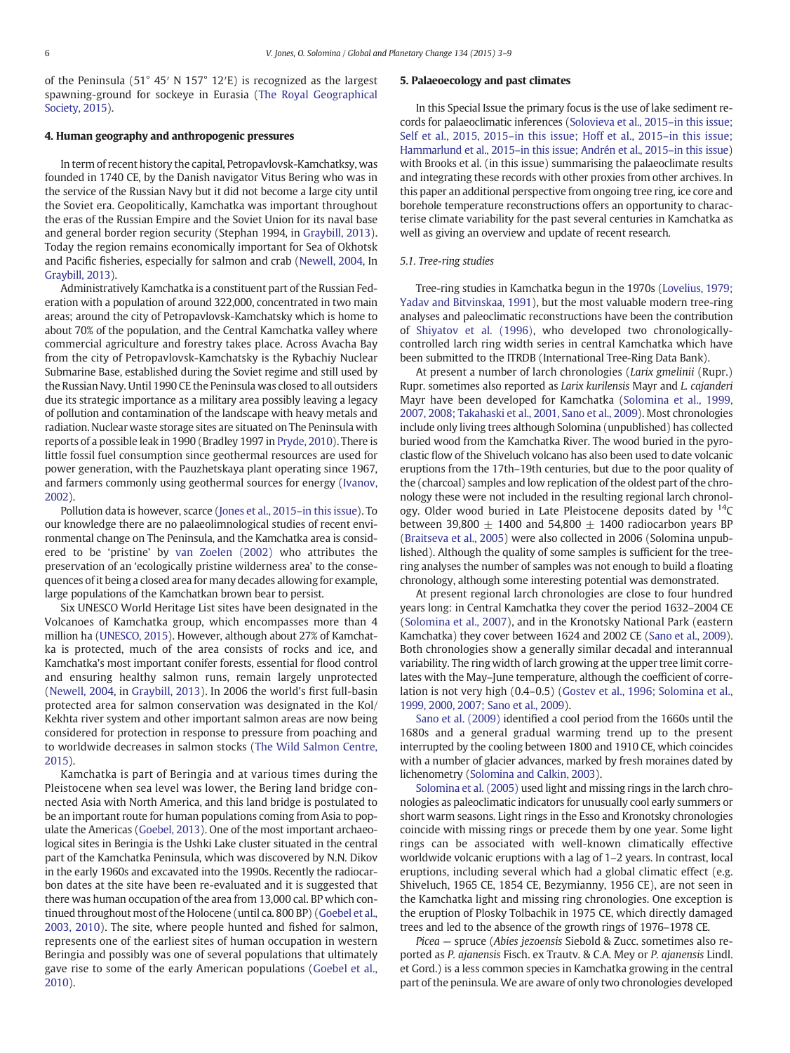of the Peninsula (51° 45′ N 157° 12′E) is recognized as the largest spawning-ground for sockeye in Eurasia [\(The Royal Geographical](#page-6-0) [Society, 2015\)](#page-6-0).

#### 4. Human geography and anthropogenic pressures

In term of recent history the capital, Petropavlovsk-Kamchatksy, was founded in 1740 CE, by the Danish navigator Vitus Bering who was in the service of the Russian Navy but it did not become a large city until the Soviet era. Geopolitically, Kamchatka was important throughout the eras of the Russian Empire and the Soviet Union for its naval base and general border region security (Stephan 1994, in [Graybill, 2013](#page-5-0)). Today the region remains economically important for Sea of Okhotsk and Pacific fisheries, especially for salmon and crab ([Newell, 2004](#page-5-0), In [Graybill, 2013](#page-5-0)).

Administratively Kamchatka is a constituent part of the Russian Federation with a population of around 322,000, concentrated in two main areas; around the city of Petropavlovsk-Kamchatsky which is home to about 70% of the population, and the Central Kamchatka valley where commercial agriculture and forestry takes place. Across Avacha Bay from the city of Petropavlovsk-Kamchatsky is the Rybachiy Nuclear Submarine Base, established during the Soviet regime and still used by the Russian Navy. Until 1990 CE the Peninsula was closed to all outsiders due its strategic importance as a military area possibly leaving a legacy of pollution and contamination of the landscape with heavy metals and radiation. Nuclear waste storage sites are situated on The Peninsula with reports of a possible leak in 1990 (Bradley 1997 in [Pryde, 2010\)](#page-5-0). There is little fossil fuel consumption since geothermal resources are used for power generation, with the Pauzhetskaya plant operating since 1967, and farmers commonly using geothermal sources for energy ([Ivanov,](#page-5-0) [2002\)](#page-5-0).

Pollution data is however, scarce [\(Jones et al., 2015](#page-5-0)–in this issue). To our knowledge there are no palaeolimnological studies of recent environmental change on The Peninsula, and the Kamchatka area is considered to be 'pristine' by [van Zoelen \(2002\)](#page-6-0) who attributes the preservation of an 'ecologically pristine wilderness area' to the consequences of it being a closed area for many decades allowing for example, large populations of the Kamchatkan brown bear to persist.

Six UNESCO World Heritage List sites have been designated in the Volcanoes of Kamchatka group, which encompasses more than 4 million ha [\(UNESCO, 2015](#page-6-0)). However, although about 27% of Kamchatka is protected, much of the area consists of rocks and ice, and Kamchatka's most important conifer forests, essential for flood control and ensuring healthy salmon runs, remain largely unprotected [\(Newell, 2004,](#page-5-0) in [Graybill, 2013](#page-5-0)). In 2006 the world's first full-basin protected area for salmon conservation was designated in the Kol/ Kekhta river system and other important salmon areas are now being considered for protection in response to pressure from poaching and to worldwide decreases in salmon stocks [\(The Wild Salmon Centre,](#page-6-0) [2015\)](#page-6-0).

Kamchatka is part of Beringia and at various times during the Pleistocene when sea level was lower, the Bering land bridge connected Asia with North America, and this land bridge is postulated to be an important route for human populations coming from Asia to populate the Americas ([Goebel, 2013\)](#page-5-0). One of the most important archaeological sites in Beringia is the Ushki Lake cluster situated in the central part of the Kamchatka Peninsula, which was discovered by N.N. Dikov in the early 1960s and excavated into the 1990s. Recently the radiocarbon dates at the site have been re-evaluated and it is suggested that there was human occupation of the area from 13,000 cal. BP which continued throughout most of the Holocene (until ca. 800 BP) [\(Goebel et al.,](#page-5-0) [2003, 2010](#page-5-0)). The site, where people hunted and fished for salmon, represents one of the earliest sites of human occupation in western Beringia and possibly was one of several populations that ultimately gave rise to some of the early American populations [\(Goebel et al.,](#page-5-0) [2010\)](#page-5-0).

#### 5. Palaeoecology and past climates

In this Special Issue the primary focus is the use of lake sediment records for palaeoclimatic inferences ([Solovieva et al., 2015](#page-6-0)–in this issue; Self et al., 2015, 2015–[in this issue; Hoff et al., 2015](#page-6-0)–in this issue; Hammarlund et al., 2015–[in this issue; Andrén et al., 2015](#page-6-0)–in this issue) with Brooks et al. (in this issue) summarising the palaeoclimate results and integrating these records with other proxies from other archives. In this paper an additional perspective from ongoing tree ring, ice core and borehole temperature reconstructions offers an opportunity to characterise climate variability for the past several centuries in Kamchatka as well as giving an overview and update of recent research.

#### 5.1. Tree-ring studies

Tree-ring studies in Kamchatka begun in the 1970s ([Lovelius, 1979;](#page-5-0) [Yadav and Bitvinskaa, 1991](#page-5-0)), but the most valuable modern tree-ring analyses and paleoclimatic reconstructions have been the contribution of [Shiyatov et al. \(1996\)](#page-6-0), who developed two chronologicallycontrolled larch ring width series in central Kamchatka which have been submitted to the ITRDB (International Tree-Ring Data Bank).

At present a number of larch chronologies (Larix gmelinii (Rupr.) Rupr. sometimes also reported as Larix kurilensis Mayr and L. cajanderi Mayr have been developed for Kamchatka [\(Solomina et al., 1999,](#page-6-0) [2007, 2008; Takahaski et al., 2001, Sano et al., 2009\)](#page-6-0). Most chronologies include only living trees although Solomina (unpublished) has collected buried wood from the Kamchatka River. The wood buried in the pyroclastic flow of the Shiveluch volcano has also been used to date volcanic eruptions from the 17th–19th centuries, but due to the poor quality of the (charcoal) samples and low replication of the oldest part of the chronology these were not included in the resulting regional larch chronology. Older wood buried in Late Pleistocene deposits dated by  $^{14}$ C between 39,800  $\pm$  1400 and 54,800  $\pm$  1400 radiocarbon years BP [\(Braitseva et al., 2005\)](#page-5-0) were also collected in 2006 (Solomina unpublished). Although the quality of some samples is sufficient for the treering analyses the number of samples was not enough to build a floating chronology, although some interesting potential was demonstrated.

At present regional larch chronologies are close to four hundred years long: in Central Kamchatka they cover the period 1632–2004 CE [\(Solomina et al., 2007](#page-6-0)), and in the Kronotsky National Park (eastern Kamchatka) they cover between 1624 and 2002 CE ([Sano et al., 2009\)](#page-5-0). Both chronologies show a generally similar decadal and interannual variability. The ring width of larch growing at the upper tree limit correlates with the May–June temperature, although the coefficient of correlation is not very high (0.4–0.5) [\(Gostev et al., 1996; Solomina et al.,](#page-5-0) [1999, 2000, 2007; Sano et al., 2009](#page-5-0)).

[Sano et al. \(2009\)](#page-5-0) identified a cool period from the 1660s until the 1680s and a general gradual warming trend up to the present interrupted by the cooling between 1800 and 1910 CE, which coincides with a number of glacier advances, marked by fresh moraines dated by lichenometry ([Solomina and Calkin, 2003\)](#page-6-0).

[Solomina et al. \(2005\)](#page-6-0) used light and missing rings in the larch chronologies as paleoclimatic indicators for unusually cool early summers or short warm seasons. Light rings in the Esso and Kronotsky chronologies coincide with missing rings or precede them by one year. Some light rings can be associated with well-known climatically effective worldwide volcanic eruptions with a lag of 1–2 years. In contrast, local eruptions, including several which had a global climatic effect (e.g. Shiveluch, 1965 CE, 1854 CE, Bezymianny, 1956 CE), are not seen in the Kamchatka light and missing ring chronologies. One exception is the eruption of Plosky Tolbachik in 1975 CE, which directly damaged trees and led to the absence of the growth rings of 1976–1978 CE.

Picea — spruce (Abies jezoensis Siebold & Zucc. sometimes also reported as P. ajanensis Fisch. ex Trautv. & C.A. Mey or P. ajanensis Lindl. et Gord.) is a less common species in Kamchatka growing in the central part of the peninsula. We are aware of only two chronologies developed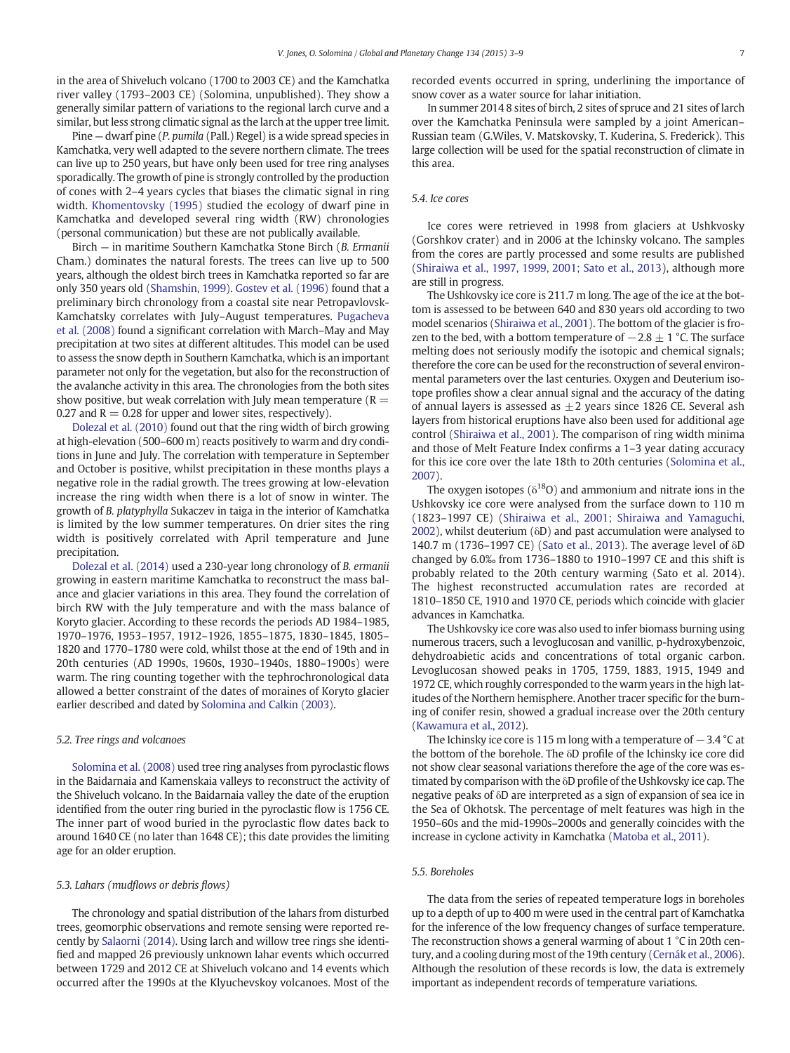in the area of Shiveluch volcano (1700 to 2003 CE) and the Kamchatka river valley (1793–2003 CE) (Solomina, unpublished). They show a generally similar pattern of variations to the regional larch curve and a similar, but less strong climatic signal as the larch at the upper tree limit.

Pine — dwarf pine (P. pumila (Pall.) Regel) is a wide spread species in Kamchatka, very well adapted to the severe northern climate. The trees can live up to 250 years, but have only been used for tree ring analyses sporadically. The growth of pine is strongly controlled by the production of cones with 2–4 years cycles that biases the climatic signal in ring width. [Khomentovsky \(1995\)](#page-5-0) studied the ecology of dwarf pine in Kamchatka and developed several ring width (RW) chronologies (personal communication) but these are not publically available.

Birch — in maritime Southern Kamchatka Stone Birch (B. Ermanii Cham.) dominates the natural forests. The trees can live up to 500 years, although the oldest birch trees in Kamchatka reported so far are only 350 years old ([Shamshin, 1999](#page-6-0)). [Gostev et al. \(1996\)](#page-5-0) found that a preliminary birch chronology from a coastal site near Petropavlovsk-Kamchatsky correlates with July–August temperatures. [Pugacheva](#page-5-0) [et al. \(2008\)](#page-5-0) found a significant correlation with March–May and May precipitation at two sites at different altitudes. This model can be used to assess the snow depth in Southern Kamchatka, which is an important parameter not only for the vegetation, but also for the reconstruction of the avalanche activity in this area. The chronologies from the both sites show positive, but weak correlation with July mean temperature ( $R =$ 0.27 and  $R = 0.28$  for upper and lower sites, respectively).

[Dolezal et al. \(2010\)](#page-5-0) found out that the ring width of birch growing at high-elevation (500–600 m) reacts positively to warm and dry conditions in June and July. The correlation with temperature in September and October is positive, whilst precipitation in these months plays a negative role in the radial growth. The trees growing at low-elevation increase the ring width when there is a lot of snow in winter. The growth of B. platyphylla Sukaczev in taiga in the interior of Kamchatka is limited by the low summer temperatures. On drier sites the ring width is positively correlated with April temperature and June precipitation.

[Dolezal et al. \(2014\)](#page-5-0) used a 230-year long chronology of B. ermanii growing in eastern maritime Kamchatka to reconstruct the mass balance and glacier variations in this area. They found the correlation of birch RW with the July temperature and with the mass balance of Koryto glacier. According to these records the periods AD 1984–1985, 1970–1976, 1953–1957, 1912–1926, 1855–1875, 1830–1845, 1805– 1820 and 1770–1780 were cold, whilst those at the end of 19th and in 20th centuries (AD 1990s, 1960s, 1930–1940s, 1880–1900s) were warm. The ring counting together with the tephrochronological data allowed a better constraint of the dates of moraines of Koryto glacier earlier described and dated by [Solomina and Calkin \(2003\).](#page-6-0)

#### 5.2. Tree rings and volcanoes

[Solomina et al. \(2008\)](#page-6-0) used tree ring analyses from pyroclastic flows in the Baidarnaia and Kamenskaia valleys to reconstruct the activity of the Shiveluch volcano. In the Baidarnaia valley the date of the eruption identified from the outer ring buried in the pyroclastic flow is 1756 CE. The inner part of wood buried in the pyroclastic flow dates back to around 1640 CE (no later than 1648 CE); this date provides the limiting age for an older eruption.

#### 5.3. Lahars (mudflows or debris flows)

The chronology and spatial distribution of the lahars from disturbed trees, geomorphic observations and remote sensing were reported recently by [Salaorni \(2014\)](#page-5-0). Using larch and willow tree rings she identified and mapped 26 previously unknown lahar events which occurred between 1729 and 2012 CE at Shiveluch volcano and 14 events which occurred after the 1990s at the Klyuchevskoy volcanoes. Most of the recorded events occurred in spring, underlining the importance of snow cover as a water source for lahar initiation.

In summer 2014 8 sites of birch, 2 sites of spruce and 21 sites of larch over the Kamchatka Peninsula were sampled by a joint American– Russian team (G.Wiles, V. Matskovsky, T. Kuderina, S. Frederick). This large collection will be used for the spatial reconstruction of climate in this area.

#### 5.4. Ice cores

Ice cores were retrieved in 1998 from glaciers at Ushkvosky (Gorshkov crater) and in 2006 at the Ichinsky volcano. The samples from the cores are partly processed and some results are published [\(Shiraiwa et al., 1997, 1999, 2001; Sato et al., 2013](#page-6-0)), although more are still in progress.

The Ushkovsky ice core is 211.7 m long. The age of the ice at the bottom is assessed to be between 640 and 830 years old according to two model scenarios [\(Shiraiwa et al., 2001\)](#page-6-0). The bottom of the glacier is frozen to the bed, with a bottom temperature of  $-2.8 \pm 1$  °C. The surface melting does not seriously modify the isotopic and chemical signals; therefore the core can be used for the reconstruction of several environmental parameters over the last centuries. Oxygen and Deuterium isotope profiles show a clear annual signal and the accuracy of the dating of annual layers is assessed as  $\pm 2$  years since 1826 CE. Several ash layers from historical eruptions have also been used for additional age control [\(Shiraiwa et al., 2001\)](#page-6-0). The comparison of ring width minima and those of Melt Feature Index confirms a 1–3 year dating accuracy for this ice core over the late 18th to 20th centuries ([Solomina et al.,](#page-6-0) [2007](#page-6-0)).

The oxygen isotopes ( $\delta^{18}O$ ) and ammonium and nitrate ions in the Ushkovsky ice core were analysed from the surface down to 110 m (1823–1997 CE) ([Shiraiwa et al., 2001; Shiraiwa and Yamaguchi,](#page-6-0) [2002](#page-6-0)), whilst deuterium (δD) and past accumulation were analysed to 140.7 m (1736–1997 CE) [\(Sato et al., 2013\)](#page-5-0). The average level of δD changed by 6.0‰ from 1736–1880 to 1910–1997 CE and this shift is probably related to the 20th century warming (Sato et al. 2014). The highest reconstructed accumulation rates are recorded at 1810–1850 CE, 1910 and 1970 CE, periods which coincide with glacier advances in Kamchatka.

The Ushkovsky ice core was also used to infer biomass burning using numerous tracers, such a levoglucosan and vanillic, p-hydroxybenzoic, dehydroabietic acids and concentrations of total organic carbon. Levoglucosan showed peaks in 1705, 1759, 1883, 1915, 1949 and 1972 CE, which roughly corresponded to the warm years in the high latitudes of the Northern hemisphere. Another tracer specific for the burning of conifer resin, showed a gradual increase over the 20th century [\(Kawamura et al., 2012](#page-5-0)).

The Ichinsky ice core is 115 m long with a temperature of  $-3.4$  °C at the bottom of the borehole. The δD profile of the Ichinsky ice core did not show clear seasonal variations therefore the age of the core was estimated by comparison with the δD profile of the Ushkovsky ice cap. The negative peaks of δD are interpreted as a sign of expansion of sea ice in the Sea of Okhotsk. The percentage of melt features was high in the 1950–60s and the mid-1990s–2000s and generally coincides with the increase in cyclone activity in Kamchatka [\(Matoba et al., 2011\)](#page-5-0).

### 5.5. Boreholes

The data from the series of repeated temperature logs in boreholes up to a depth of up to 400 m were used in the central part of Kamchatka for the inference of the low frequency changes of surface temperature. The reconstruction shows a general warming of about 1 °C in 20th century, and a cooling during most of the 19th century [\(Cernák et al., 2006](#page-5-0)). Although the resolution of these records is low, the data is extremely important as independent records of temperature variations.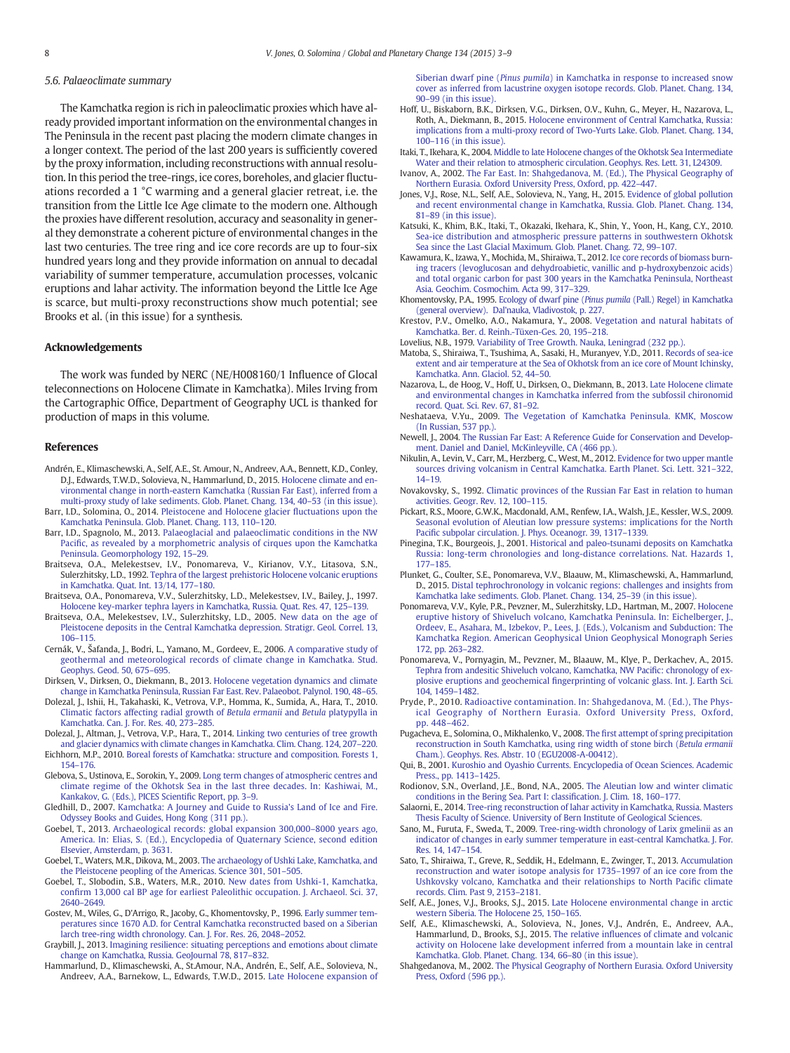#### <span id="page-5-0"></span>5.6. Palaeoclimate summary

The Kamchatka region is rich in paleoclimatic proxies which have already provided important information on the environmental changes in The Peninsula in the recent past placing the modern climate changes in a longer context. The period of the last 200 years is sufficiently covered by the proxy information, including reconstructions with annual resolution. In this period the tree-rings, ice cores, boreholes, and glacier fluctuations recorded a 1 °C warming and a general glacier retreat, i.e. the transition from the Little Ice Age climate to the modern one. Although the proxies have different resolution, accuracy and seasonality in general they demonstrate a coherent picture of environmental changes in the last two centuries. The tree ring and ice core records are up to four-six hundred years long and they provide information on annual to decadal variability of summer temperature, accumulation processes, volcanic eruptions and lahar activity. The information beyond the Little Ice Age is scarce, but multi-proxy reconstructions show much potential; see Brooks et al. (in this issue) for a synthesis.

#### Acknowledgements

The work was funded by NERC (NE/H008160/1 Influence of Glocal teleconnections on Holocene Climate in Kamchatka). Miles Irving from the Cartographic Office, Department of Geography UCL is thanked for production of maps in this volume.

#### References

- Andrén, E., Klimaschewski, A., Self, A.E., St. Amour, N., Andreev, A.A., Bennett, K.D., Conley, D.J., Edwards, T.W.D., Solovieva, N., Hammarlund, D., 2015. [Holocene climate and en](http://refhub.elsevier.com/S0921-8181(15)00113-7/rf0005)[vironmental change in north-eastern Kamchatka \(Russian Far East\), inferred from a](http://refhub.elsevier.com/S0921-8181(15)00113-7/rf0005) [multi-proxy study of lake sediments. Glob. Planet. Chang. 134, 40](http://refhub.elsevier.com/S0921-8181(15)00113-7/rf0005)–53 (in this issue).
- Barr, I.D., Solomina, O., 2014. [Pleistocene and Holocene glacier](http://refhub.elsevier.com/S0921-8181(15)00113-7/rf0010) fluctuations upon the [Kamchatka Peninsula. Glob. Planet. Chang. 113, 110](http://refhub.elsevier.com/S0921-8181(15)00113-7/rf0010)–120.
- Barr, I.D., Spagnolo, M., 2013. [Palaeoglacial and palaeoclimatic conditions in the NW](http://refhub.elsevier.com/S0921-8181(15)00113-7/rf0015) Pacifi[c, as revealed by a morphometric analysis of cirques upon the Kamchatka](http://refhub.elsevier.com/S0921-8181(15)00113-7/rf0015) [Peninsula. Geomorphology 192, 15](http://refhub.elsevier.com/S0921-8181(15)00113-7/rf0015)–29.
- Braitseva, O.A., Melekestsev, I.V., Ponomareva, V., Kirianov, V.Y., Litasova, S.N., Sulerzhitsky, L.D., 1992. [Tephra of the largest prehistoric Holocene volcanic eruptions](http://refhub.elsevier.com/S0921-8181(15)00113-7/rf0020) [in Kamchatka. Quat. Int. 13/14, 177](http://refhub.elsevier.com/S0921-8181(15)00113-7/rf0020)–180.
- Braitseva, O.A., Ponomareva, V.V., Sulerzhitsky, L.D., Melekestsev, I.V., Bailey, J., 1997. [Holocene key-marker tephra layers in Kamchatka, Russia. Quat. Res. 47, 125](http://refhub.elsevier.com/S0921-8181(15)00113-7/rf0025)–139.
- Braitseva, O.A., Melekestsev, I.V., Sulerzhitsky, L.D., 2005. [New data on the age of](http://refhub.elsevier.com/S0921-8181(15)00113-7/rf0030) [Pleistocene deposits in the Central Kamchatka depression. Stratigr. Geol. Correl. 13,](http://refhub.elsevier.com/S0921-8181(15)00113-7/rf0030) 106–[115.](http://refhub.elsevier.com/S0921-8181(15)00113-7/rf0030)
- Cernák, V., Šafanda, J., Bodri, L., Yamano, M., Gordeev, E., 2006. [A comparative study of](http://refhub.elsevier.com/S0921-8181(15)00113-7/rf0035) [geothermal and meteorological records of climate change in Kamchatka. Stud.](http://refhub.elsevier.com/S0921-8181(15)00113-7/rf0035) [Geophys. Geod. 50, 675](http://refhub.elsevier.com/S0921-8181(15)00113-7/rf0035)–695.
- Dirksen, V., Dirksen, O., Diekmann, B., 2013. [Holocene vegetation dynamics and climate](http://refhub.elsevier.com/S0921-8181(15)00113-7/rf0040) [change in Kamchatka Peninsula, Russian Far East. Rev. Palaeobot. Palynol. 190, 48](http://refhub.elsevier.com/S0921-8181(15)00113-7/rf0040)–65.
- Dolezal, J., Ishii, H., Takahaski, K., Vetrova, V.P., Homma, K., Sumida, A., Hara, T., 2010. [Climatic factors affecting radial growth of](http://refhub.elsevier.com/S0921-8181(15)00113-7/rf0045) Betula ermanii and Betula platypylla in [Kamchatka. Can. J. For. Res. 40, 273](http://refhub.elsevier.com/S0921-8181(15)00113-7/rf0045)–285.
- Dolezal, J., Altman, J., Vetrova, V.P., Hara, T., 2014. [Linking two centuries of tree growth](http://refhub.elsevier.com/S0921-8181(15)00113-7/rf0050)
- [and glacier dynamics with climate changes in Kamchatka. Clim. Chang. 124, 207](http://refhub.elsevier.com/S0921-8181(15)00113-7/rf0050)–220. Eichhorn, M.P., 2010. [Boreal forests of Kamchatka: structure and composition. Forests 1,](http://refhub.elsevier.com/S0921-8181(15)00113-7/rf0055) 154–[176.](http://refhub.elsevier.com/S0921-8181(15)00113-7/rf0055)
- Glebova, S., Ustinova, E., Sorokin, Y., 2009. [Long term changes of atmospheric centres and](http://refhub.elsevier.com/S0921-8181(15)00113-7/rf0060) [climate regime of the Okhotsk Sea in the last three decades. In: Kashiwai, M.,](http://refhub.elsevier.com/S0921-8181(15)00113-7/rf0060) [Kankakov, G. \(Eds.\), PICES Scienti](http://refhub.elsevier.com/S0921-8181(15)00113-7/rf0060)fic Report, pp. 3–9.
- Gledhill, D., 2007. [Kamchatka: A Journey and Guide to Russia's Land of Ice and Fire.](http://refhub.elsevier.com/S0921-8181(15)00113-7/rf0065) [Odyssey Books and Guides, Hong Kong \(311 pp.\)](http://refhub.elsevier.com/S0921-8181(15)00113-7/rf0065).
- Goebel, T., 2013. [Archaeological records: global expansion 300,000](http://refhub.elsevier.com/S0921-8181(15)00113-7/rf0070)–8000 years ago, [America. In: Elias, S. \(Ed.\), Encyclopedia of Quaternary Science, second edition](http://refhub.elsevier.com/S0921-8181(15)00113-7/rf0070) [Elsevier, Amsterdam, p. 3631](http://refhub.elsevier.com/S0921-8181(15)00113-7/rf0070).
- Goebel, T., Waters, M.R., Dikova, M., 2003. [The archaeology of Ushki Lake, Kamchatka, and](http://refhub.elsevier.com/S0921-8181(15)00113-7/rf0075) [the Pleistocene peopling of the Americas. Science 301, 501](http://refhub.elsevier.com/S0921-8181(15)00113-7/rf0075)–505.
- Goebel, T., Slobodin, S.B., Waters, M.R., 2010. [New dates from Ushki-1, Kamchatka,](http://refhub.elsevier.com/S0921-8181(15)00113-7/rf0080) confi[rm 13,000 cal BP age for earliest Paleolithic occupation. J. Archaeol. Sci. 37,](http://refhub.elsevier.com/S0921-8181(15)00113-7/rf0080) 2640–[2649.](http://refhub.elsevier.com/S0921-8181(15)00113-7/rf0080)
- Gostev, M., Wiles, G., D'Arrigo, R., Jacoby, G., Khomentovsky, P., 1996. [Early summer tem](http://refhub.elsevier.com/S0921-8181(15)00113-7/rf0085)[peratures since 1670 A.D. for Central Kamchatka reconstructed based on a Siberian](http://refhub.elsevier.com/S0921-8181(15)00113-7/rf0085) [larch tree-ring width chronology. Can. J. For. Res. 26, 2048](http://refhub.elsevier.com/S0921-8181(15)00113-7/rf0085)–2052.
- Graybill, J., 2013. [Imagining resilience: situating perceptions and emotions about climate](http://refhub.elsevier.com/S0921-8181(15)00113-7/rf0090) [change on Kamchatka, Russia. GeoJournal 78, 817](http://refhub.elsevier.com/S0921-8181(15)00113-7/rf0090)–832.
- Hammarlund, D., Klimaschewski, A., St.Amour, N.A., Andrén, E., Self, A.E., Solovieva, N., Andreev, A.A., Barnekow, L., Edwards, T.W.D., 2015. [Late Holocene expansion of](http://refhub.elsevier.com/S0921-8181(15)00113-7/rf0095)

Siberian dwarf pine (Pinus pumila[\) in Kamchatka in response to increased snow](http://refhub.elsevier.com/S0921-8181(15)00113-7/rf0095) [cover as inferred from lacustrine oxygen isotope records. Glob. Planet. Chang. 134,](http://refhub.elsevier.com/S0921-8181(15)00113-7/rf0095) 90–[99 \(in this issue\).](http://refhub.elsevier.com/S0921-8181(15)00113-7/rf0095)

- Hoff, U., Biskaborn, B.K., Dirksen, V.G., Dirksen, O.V., Kuhn, G., Meyer, H., Nazarova, L., Roth, A., Diekmann, B., 2015. [Holocene environment of Central Kamchatka, Russia:](http://refhub.elsevier.com/S0921-8181(15)00113-7/rf0100) [implications from a multi-proxy record of Two-Yurts Lake. Glob. Planet. Chang. 134,](http://refhub.elsevier.com/S0921-8181(15)00113-7/rf0100) 100–[116 \(in this issue\).](http://refhub.elsevier.com/S0921-8181(15)00113-7/rf0100)
- Itaki, T., Ikehara, K., 2004. [Middle to late Holocene changes of the Okhotsk Sea Intermediate](http://refhub.elsevier.com/S0921-8181(15)00113-7/rf0105) [Water and their relation to atmospheric circulation. Geophys. Res. Lett. 31, L24309](http://refhub.elsevier.com/S0921-8181(15)00113-7/rf0105).
- Ivanov, A., 2002. [The Far East. In: Shahgedanova, M. \(Ed.\), The Physical Geography of](http://refhub.elsevier.com/S0921-8181(15)00113-7/rf0110) [Northern Eurasia. Oxford University Press, Oxford, pp. 422](http://refhub.elsevier.com/S0921-8181(15)00113-7/rf0110)–447.
- Jones, V.J., Rose, N.L., Self, A.E., Solovieva, N., Yang, H., 2015. [Evidence of global pollution](http://refhub.elsevier.com/S0921-8181(15)00113-7/rf0115) [and recent environmental change in Kamchatka, Russia. Glob. Planet. Chang. 134,](http://refhub.elsevier.com/S0921-8181(15)00113-7/rf0115) 81–[89 \(in this issue\).](http://refhub.elsevier.com/S0921-8181(15)00113-7/rf0115)
- Katsuki, K., Khim, B.K., Itaki, T., Okazaki, Ikehara, K., Shin, Y., Yoon, H., Kang, C.Y., 2010. [Sea-ice distribution and atmospheric pressure patterns in southwestern Okhotsk](http://refhub.elsevier.com/S0921-8181(15)00113-7/rf0120) [Sea since the Last Glacial Maximum. Glob. Planet. Chang. 72, 99](http://refhub.elsevier.com/S0921-8181(15)00113-7/rf0120)–107.
- Kawamura, K., Izawa, Y., Mochida, M., Shiraiwa, T., 2012. [Ice core records of biomass burn](http://refhub.elsevier.com/S0921-8181(15)00113-7/rf0125)[ing tracers \(levoglucosan and dehydroabietic, vanillic and p-hydroxybenzoic acids\)](http://refhub.elsevier.com/S0921-8181(15)00113-7/rf0125) [and total organic carbon for past 300 years in the Kamchatka Peninsula, Northeast](http://refhub.elsevier.com/S0921-8181(15)00113-7/rf0125) [Asia. Geochim. Cosmochim. Acta 99, 317](http://refhub.elsevier.com/S0921-8181(15)00113-7/rf0125)–329.
- Khomentovsky, P.A., 1995. Ecology of dwarf pine (Pinus pumila [\(Pall.\) Regel\) in Kamchatka](http://refhub.elsevier.com/S0921-8181(15)00113-7/rf8655) [\(general overview\). Dal'nauka, Vladivostok, p. 227](http://refhub.elsevier.com/S0921-8181(15)00113-7/rf8655).
- Krestov, P.V., Omelko, A.O., Nakamura, Y., 2008. [Vegetation and natural habitats of](http://refhub.elsevier.com/S0921-8181(15)00113-7/rf0130) [Kamchatka. Ber. d. Reinh.-Tüxen-Ges. 20, 195](http://refhub.elsevier.com/S0921-8181(15)00113-7/rf0130)–218.
- Lovelius, N.B., 1979. [Variability of Tree Growth. Nauka, Leningrad \(232 pp.\)](http://refhub.elsevier.com/S0921-8181(15)00113-7/rf0135).
- Matoba, S., Shiraiwa, T., Tsushima, A., Sasaki, H., Muranyev, Y.D., 2011. [Records of sea-ice](http://refhub.elsevier.com/S0921-8181(15)00113-7/rf0140) [extent and air temperature at the Sea of Okhotsk from an ice core of Mount Ichinsky,](http://refhub.elsevier.com/S0921-8181(15)00113-7/rf0140) [Kamchatka. Ann. Glaciol. 52, 44](http://refhub.elsevier.com/S0921-8181(15)00113-7/rf0140)–50.
- Nazarova, L., de Hoog, V., Hoff, U., Dirksen, O., Diekmann, B., 2013. [Late Holocene climate](http://refhub.elsevier.com/S0921-8181(15)00113-7/rf0145) [and environmental changes in Kamchatka inferred from the subfossil chironomid](http://refhub.elsevier.com/S0921-8181(15)00113-7/rf0145) [record. Quat. Sci. Rev. 67, 81](http://refhub.elsevier.com/S0921-8181(15)00113-7/rf0145)–92.
- Neshataeva, V.Yu., 2009. [The Vegetation of Kamchatka Peninsula. KMK, Moscow](http://refhub.elsevier.com/S0921-8181(15)00113-7/rf0150) [\(In Russian, 537 pp.\).](http://refhub.elsevier.com/S0921-8181(15)00113-7/rf0150)
- Newell, J., 2004. [The Russian Far East: A Reference Guide for Conservation and Develop](http://refhub.elsevier.com/S0921-8181(15)00113-7/rf0155)[ment. Daniel and Daniel, McKinleyville, CA \(466 pp.\).](http://refhub.elsevier.com/S0921-8181(15)00113-7/rf0155)
- Nikulin, A., Levin, V., Carr, M., Herzberg, C., West, M., 2012. [Evidence for two upper mantle](http://refhub.elsevier.com/S0921-8181(15)00113-7/rf0160) [sources driving volcanism in Central Kamchatka. Earth Planet. Sci. Lett. 321](http://refhub.elsevier.com/S0921-8181(15)00113-7/rf0160)–322, [14](http://refhub.elsevier.com/S0921-8181(15)00113-7/rf0160)–19.
- Novakovsky, S., 1992. [Climatic provinces of the Russian Far East in relation to human](http://refhub.elsevier.com/S0921-8181(15)00113-7/rf0165) [activities. Geogr. Rev. 12, 100](http://refhub.elsevier.com/S0921-8181(15)00113-7/rf0165)–115.
- Pickart, R.S., Moore, G.W.K., Macdonald, A.M., Renfew, I.A., Walsh, J.E., Kessler, W.S., 2009. [Seasonal evolution of Aleutian low pressure systems: implications for the North](http://refhub.elsevier.com/S0921-8181(15)00113-7/rf0170) Pacifi[c subpolar circulation. J. Phys. Oceanogr. 39, 1317](http://refhub.elsevier.com/S0921-8181(15)00113-7/rf0170)–1339.
- Pinegina, T.K., Bourgeois, J., 2001. [Historical and paleo-tsunami deposits on Kamchatka](http://refhub.elsevier.com/S0921-8181(15)00113-7/rf0175) [Russia: long-term chronologies and long-distance correlations. Nat. Hazards 1,](http://refhub.elsevier.com/S0921-8181(15)00113-7/rf0175) 177–[185.](http://refhub.elsevier.com/S0921-8181(15)00113-7/rf0175)
- Plunket, G., Coulter, S.E., Ponomareva, V.V., Blaauw, M., Klimaschewski, A., Hammarlund, D., 2015. [Distal tephrochronology in volcanic regions: challenges and insights from](http://refhub.elsevier.com/S0921-8181(15)00113-7/rf0180) [Kamchatka lake sediments. Glob. Planet. Chang. 134, 25](http://refhub.elsevier.com/S0921-8181(15)00113-7/rf0180)–39 (in this issue).
- Ponomareva, V.V., Kyle, P.R., Pevzner, M., Sulerzhitsky, L.D., Hartman, M., 2007. [Holocene](http://refhub.elsevier.com/S0921-8181(15)00113-7/rf0185) [eruptive history of Shiveluch volcano, Kamchatka Peninsula. In: Eichelberger, J.,](http://refhub.elsevier.com/S0921-8181(15)00113-7/rf0185) [Ordeev, E., Asahara, M., Izbekov, P., Lees, J. \(Eds.\), Volcanism and Subduction: The](http://refhub.elsevier.com/S0921-8181(15)00113-7/rf0185) [Kamchatka Region. American Geophysical Union Geophysical Monograph Series](http://refhub.elsevier.com/S0921-8181(15)00113-7/rf0185) [172, pp. 263](http://refhub.elsevier.com/S0921-8181(15)00113-7/rf0185)–282.
- Ponomareva, V., Pornyagin, M., Pevzner, M., Blaauw, M., Klye, P., Derkachev, A., 2015. [Tephra from andesitic Shiveluch volcano, Kamchatka, NW Paci](http://refhub.elsevier.com/S0921-8181(15)00113-7/rf0190)fic: chronology of explosive eruptions and geochemical fi[ngerprinting of volcanic glass. Int. J. Earth Sci.](http://refhub.elsevier.com/S0921-8181(15)00113-7/rf0190) [104, 1459](http://refhub.elsevier.com/S0921-8181(15)00113-7/rf0190)–1482.
- Pryde, P., 2010. [Radioactive contamination. In: Shahgedanova, M. \(Ed.\), The Phys](http://refhub.elsevier.com/S0921-8181(15)00113-7/rf0195)[ical Geography of Northern Eurasia. Oxford University Press, Oxford,](http://refhub.elsevier.com/S0921-8181(15)00113-7/rf0195) [pp. 448](http://refhub.elsevier.com/S0921-8181(15)00113-7/rf0195)–462.
- Pugacheva, E., Solomina, O., Mikhalenko, V., 2008. The fi[rst attempt of spring precipitation](http://refhub.elsevier.com/S0921-8181(15)00113-7/rf0200) [reconstruction in South Kamchatka, using ring width of stone birch \(](http://refhub.elsevier.com/S0921-8181(15)00113-7/rf0200)Betula ermanii [Cham.\). Geophys. Res. Abstr. 10 \(EGU2008-A-00412\)](http://refhub.elsevier.com/S0921-8181(15)00113-7/rf0200).
- Qui, B., 2001. [Kuroshio and Oyashio Currents. Encyclopedia of Ocean Sciences. Academic](http://refhub.elsevier.com/S0921-8181(15)00113-7/rf9740) [Press., pp. 1413](http://refhub.elsevier.com/S0921-8181(15)00113-7/rf9740)–1425.
- Rodionov, S.N., Overland, J.E., Bond, N.A., 2005. [The Aleutian low and winter climatic](http://refhub.elsevier.com/S0921-8181(15)00113-7/rf0205) [conditions in the Bering Sea. Part I: classi](http://refhub.elsevier.com/S0921-8181(15)00113-7/rf0205)fication. J. Clim. 18, 160–177.
- Salaorni, E., 2014. [Tree-ring reconstruction of lahar activity in Kamchatka, Russia. Masters](http://refhub.elsevier.com/S0921-8181(15)00113-7/rf0210) [Thesis Faculty of Science. University of Bern Institute of Geological Sciences.](http://refhub.elsevier.com/S0921-8181(15)00113-7/rf0210)
- Sano, M., Furuta, F., Sweda, T., 2009. [Tree-ring-width chronology of Larix gmelinii as an](http://refhub.elsevier.com/S0921-8181(15)00113-7/rf9000) [indicator of changes in early summer temperature in east-central Kamchatka. J. For.](http://refhub.elsevier.com/S0921-8181(15)00113-7/rf9000) [Res. 14, 147](http://refhub.elsevier.com/S0921-8181(15)00113-7/rf9000)–154.
- Sato, T., Shiraiwa, T., Greve, R., Seddik, H., Edelmann, E., Zwinger, T., 2013. [Accumulation](http://refhub.elsevier.com/S0921-8181(15)00113-7/rf0215) [reconstruction and water isotope analysis for 1735](http://refhub.elsevier.com/S0921-8181(15)00113-7/rf0215)–1997 of an ice core from the [Ushkovsky volcano, Kamchatka and their relationships to North Paci](http://refhub.elsevier.com/S0921-8181(15)00113-7/rf0215)fic climate [records. Clim. Past 9, 2153](http://refhub.elsevier.com/S0921-8181(15)00113-7/rf0215)–2181.
- Self, A.E., Jones, V.J., Brooks, S.J., 2015. [Late Holocene environmental change in arctic](http://refhub.elsevier.com/S0921-8181(15)00113-7/rf0220) [western Siberia. The Holocene 25, 150](http://refhub.elsevier.com/S0921-8181(15)00113-7/rf0220)–165.
- Self, A.E., Klimaschewski, A., Solovieva, N., Jones, V.J., Andrén, E., Andreev, A.A., Hammarlund, D., Brooks, S.J., 2015. The relative infl[uences of climate and volcanic](http://refhub.elsevier.com/S0921-8181(15)00113-7/rf0225) [activity on Holocene lake development inferred from a mountain lake in central](http://refhub.elsevier.com/S0921-8181(15)00113-7/rf0225) [Kamchatka. Glob. Planet. Chang. 134, 66](http://refhub.elsevier.com/S0921-8181(15)00113-7/rf0225)–80 (in this issue).
- Shahgedanova, M., 2002. [The Physical Geography of Northern Eurasia. Oxford University](http://refhub.elsevier.com/S0921-8181(15)00113-7/rf0230) [Press, Oxford \(596 pp.\).](http://refhub.elsevier.com/S0921-8181(15)00113-7/rf0230)